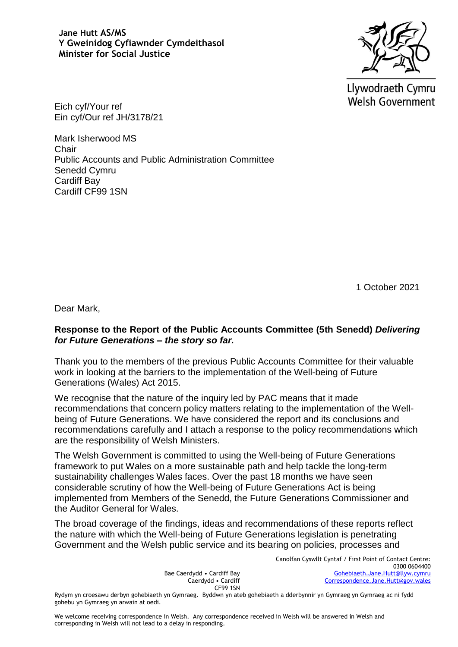

Llywodraeth Cymru **Welsh Government** 

Eich cyf/Your ref Ein cyf/Our ref JH/3178/21

Mark Isherwood MS Chair Public Accounts and Public Administration Committee Senedd Cymru Cardiff Bay Cardiff CF99 1SN

1 October 2021

Dear Mark,

### **Response to the Report of the Public Accounts Committee (5th Senedd)** *Delivering for Future Generations – the story so far.*

Thank you to the members of the previous Public Accounts Committee for their valuable work in looking at the barriers to the implementation of the Well-being of Future Generations (Wales) Act 2015.

We recognise that the nature of the inquiry led by PAC means that it made recommendations that concern policy matters relating to the implementation of the Wellbeing of Future Generations. We have considered the report and its conclusions and recommendations carefully and I attach a response to the policy recommendations which are the responsibility of Welsh Ministers.

The Welsh Government is committed to using the Well-being of Future Generations framework to put Wales on a more sustainable path and help tackle the long-term sustainability challenges Wales faces. Over the past 18 months we have seen considerable scrutiny of how the Well-being of Future Generations Act is being implemented from Members of the Senedd, the Future Generations Commissioner and the Auditor General for Wales.

The broad coverage of the findings, ideas and recommendations of these reports reflect the nature with which the Well-being of Future Generations legislation is penetrating Government and the Welsh public service and its bearing on policies, processes and

> Bae Caerdydd • Cardiff Bay Caerdydd • Cardiff CF99 1SN

Canolfan Cyswllt Cyntaf / First Point of Contact Centre: 0300 0604400 [Gohebiaeth.Jane.Hutt@llyw.cymru](mailto:Gohebiaeth.Jane.Hutt@llyw.cymru) [Correspondence.Jane.Hutt@gov.wales](mailto:Correspondence.Jane.Hutt@gov.wales)

Rydym yn croesawu derbyn gohebiaeth yn Gymraeg. Byddwn yn ateb gohebiaeth a dderbynnir yn Gymraeg yn Gymraeg ac ni fydd gohebu yn Gymraeg yn arwain at oedi.

We welcome receiving correspondence in Welsh. Any correspondence received in Welsh will be answered in Welsh and corresponding in Welsh will not lead to a delay in responding.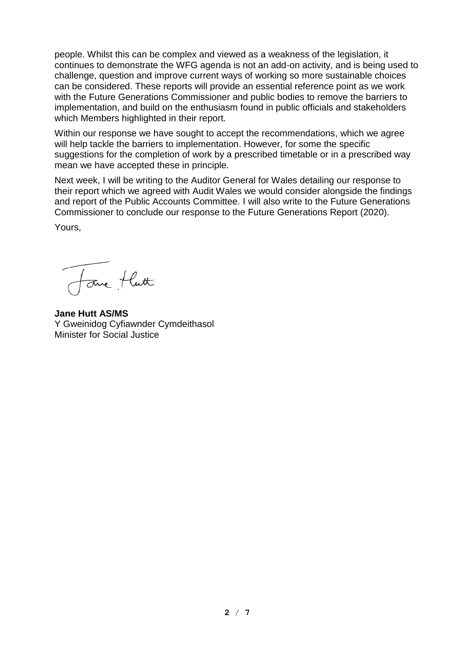people. Whilst this can be complex and viewed as a weakness of the legislation, it continues to demonstrate the WFG agenda is not an add-on activity, and is being used to challenge, question and improve current ways of working so more sustainable choices can be considered. These reports will provide an essential reference point as we work with the Future Generations Commissioner and public bodies to remove the barriers to implementation, and build on the enthusiasm found in public officials and stakeholders which Members highlighted in their report.

Within our response we have sought to accept the recommendations, which we agree will help tackle the barriers to implementation. However, for some the specific suggestions for the completion of work by a prescribed timetable or in a prescribed way mean we have accepted these in principle.

Next week, I will be writing to the Auditor General for Wales detailing our response to their report which we agreed with Audit Wales we would consider alongside the findings and report of the Public Accounts Committee. I will also write to the Future Generations Commissioner to conclude our response to the Future Generations Report (2020).

Yours,

Jone tlutt

**Jane Hutt AS/MS** Y Gweinidog Cyfiawnder Cymdeithasol Minister for Social Justice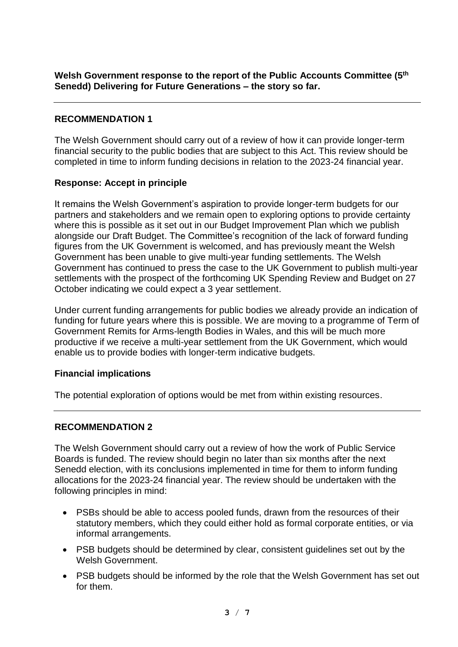## **RECOMMENDATION 1**

The Welsh Government should carry out of a review of how it can provide longer-term financial security to the public bodies that are subject to this Act. This review should be completed in time to inform funding decisions in relation to the 2023-24 financial year.

### **Response: Accept in principle**

It remains the Welsh Government's aspiration to provide longer-term budgets for our partners and stakeholders and we remain open to exploring options to provide certainty where this is possible as it set out in our Budget Improvement Plan which we publish alongside our Draft Budget. The Committee's recognition of the lack of forward funding figures from the UK Government is welcomed, and has previously meant the Welsh Government has been unable to give multi-year funding settlements. The Welsh Government has continued to press the case to the UK Government to publish multi-year settlements with the prospect of the forthcoming UK Spending Review and Budget on 27 October indicating we could expect a 3 year settlement.

Under current funding arrangements for public bodies we already provide an indication of funding for future years where this is possible. We are moving to a programme of Term of Government Remits for Arms-length Bodies in Wales, and this will be much more productive if we receive a multi-year settlement from the UK Government, which would enable us to provide bodies with longer-term indicative budgets.

### **Financial implications**

The potential exploration of options would be met from within existing resources.

### **RECOMMENDATION 2**

The Welsh Government should carry out a review of how the work of Public Service Boards is funded. The review should begin no later than six months after the next Senedd election, with its conclusions implemented in time for them to inform funding allocations for the 2023-24 financial year. The review should be undertaken with the following principles in mind:

- PSBs should be able to access pooled funds, drawn from the resources of their statutory members, which they could either hold as formal corporate entities, or via informal arrangements.
- PSB budgets should be determined by clear, consistent guidelines set out by the Welsh Government.
- PSB budgets should be informed by the role that the Welsh Government has set out for them.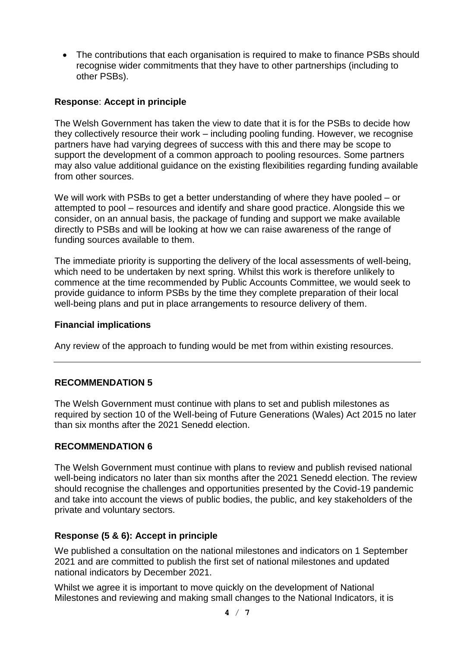• The contributions that each organisation is required to make to finance PSBs should recognise wider commitments that they have to other partnerships (including to other PSBs).

### **Response**: **Accept in principle**

The Welsh Government has taken the view to date that it is for the PSBs to decide how they collectively resource their work – including pooling funding. However, we recognise partners have had varying degrees of success with this and there may be scope to support the development of a common approach to pooling resources. Some partners may also value additional guidance on the existing flexibilities regarding funding available from other sources.

We will work with PSBs to get a better understanding of where they have pooled – or attempted to pool – resources and identify and share good practice. Alongside this we consider, on an annual basis, the package of funding and support we make available directly to PSBs and will be looking at how we can raise awareness of the range of funding sources available to them.

The immediate priority is supporting the delivery of the local assessments of well-being, which need to be undertaken by next spring. Whilst this work is therefore unlikely to commence at the time recommended by Public Accounts Committee, we would seek to provide guidance to inform PSBs by the time they complete preparation of their local well-being plans and put in place arrangements to resource delivery of them.

### **Financial implications**

Any review of the approach to funding would be met from within existing resources.

### **RECOMMENDATION 5**

The Welsh Government must continue with plans to set and publish milestones as required by section 10 of the Well-being of Future Generations (Wales) Act 2015 no later than six months after the 2021 Senedd election.

### **RECOMMENDATION 6**

The Welsh Government must continue with plans to review and publish revised national well-being indicators no later than six months after the 2021 Senedd election. The review should recognise the challenges and opportunities presented by the Covid-19 pandemic and take into account the views of public bodies, the public, and key stakeholders of the private and voluntary sectors.

### **Response (5 & 6): Accept in principle**

We published a consultation on the national milestones and indicators on 1 September 2021 and are committed to publish the first set of national milestones and updated national indicators by December 2021.

Whilst we agree it is important to move quickly on the development of National Milestones and reviewing and making small changes to the National Indicators, it is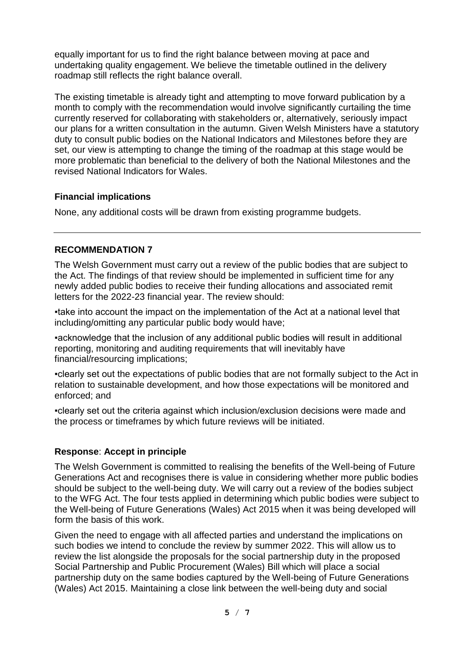equally important for us to find the right balance between moving at pace and undertaking quality engagement. We believe the timetable outlined in the delivery roadmap still reflects the right balance overall.

The existing timetable is already tight and attempting to move forward publication by a month to comply with the recommendation would involve significantly curtailing the time currently reserved for collaborating with stakeholders or, alternatively, seriously impact our plans for a written consultation in the autumn. Given Welsh Ministers have a statutory duty to consult public bodies on the National Indicators and Milestones before they are set, our view is attempting to change the timing of the roadmap at this stage would be more problematic than beneficial to the delivery of both the National Milestones and the revised National Indicators for Wales.

### **Financial implications**

None, any additional costs will be drawn from existing programme budgets.

### **RECOMMENDATION 7**

The Welsh Government must carry out a review of the public bodies that are subject to the Act. The findings of that review should be implemented in sufficient time for any newly added public bodies to receive their funding allocations and associated remit letters for the 2022-23 financial year. The review should:

▪take into account the impact on the implementation of the Act at a national level that including/omitting any particular public body would have;

▪acknowledge that the inclusion of any additional public bodies will result in additional reporting, monitoring and auditing requirements that will inevitably have financial/resourcing implications;

▪clearly set out the expectations of public bodies that are not formally subject to the Act in relation to sustainable development, and how those expectations will be monitored and enforced; and

▪clearly set out the criteria against which inclusion/exclusion decisions were made and the process or timeframes by which future reviews will be initiated.

### **Response**: **Accept in principle**

The Welsh Government is committed to realising the benefits of the Well-being of Future Generations Act and recognises there is value in considering whether more public bodies should be subject to the well-being duty. We will carry out a review of the bodies subject to the WFG Act. The four tests applied in determining which public bodies were subject to the Well-being of Future Generations (Wales) Act 2015 when it was being developed will form the basis of this work.

Given the need to engage with all affected parties and understand the implications on such bodies we intend to conclude the review by summer 2022. This will allow us to review the list alongside the proposals for the social partnership duty in the proposed Social Partnership and Public Procurement (Wales) Bill which will place a social partnership duty on the same bodies captured by the Well-being of Future Generations (Wales) Act 2015. Maintaining a close link between the well-being duty and social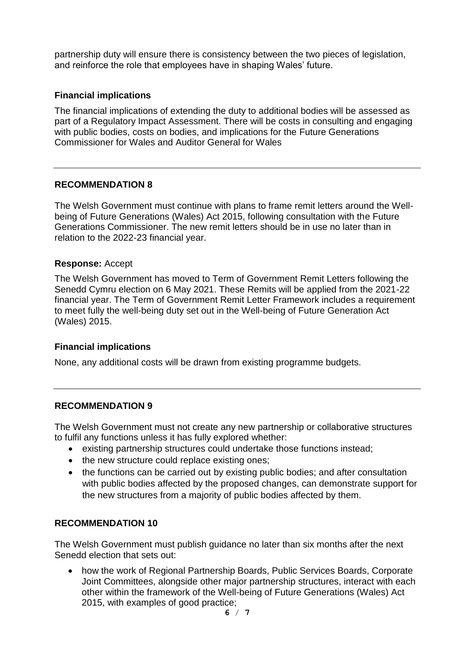partnership duty will ensure there is consistency between the two pieces of legislation, and reinforce the role that employees have in shaping Wales' future.

### **Financial implications**

The financial implications of extending the duty to additional bodies will be assessed as part of a Regulatory Impact Assessment. There will be costs in consulting and engaging with public bodies, costs on bodies, and implications for the Future Generations Commissioner for Wales and Auditor General for Wales

### **RECOMMENDATION 8**

The Welsh Government must continue with plans to frame remit letters around the Wellbeing of Future Generations (Wales) Act 2015, following consultation with the Future Generations Commissioner. The new remit letters should be in use no later than in relation to the 2022-23 financial year.

### **Response:** Accept

The Welsh Government has moved to Term of Government Remit Letters following the Senedd Cymru election on 6 May 2021. These Remits will be applied from the 2021-22 financial year. The Term of Government Remit Letter Framework includes a requirement to meet fully the well-being duty set out in the Well-being of Future Generation Act (Wales) 2015.

# **Financial implications**

None, any additional costs will be drawn from existing programme budgets.

### **RECOMMENDATION 9**

The Welsh Government must not create any new partnership or collaborative structures to fulfil any functions unless it has fully explored whether:

- existing partnership structures could undertake those functions instead;
- the new structure could replace existing ones;
- the functions can be carried out by existing public bodies; and after consultation with public bodies affected by the proposed changes, can demonstrate support for the new structures from a majority of public bodies affected by them.

### **RECOMMENDATION 10**

The Welsh Government must publish guidance no later than six months after the next Senedd election that sets out:

• how the work of Regional Partnership Boards, Public Services Boards, Corporate Joint Committees, alongside other major partnership structures, interact with each other within the framework of the Well-being of Future Generations (Wales) Act 2015, with examples of good practice;